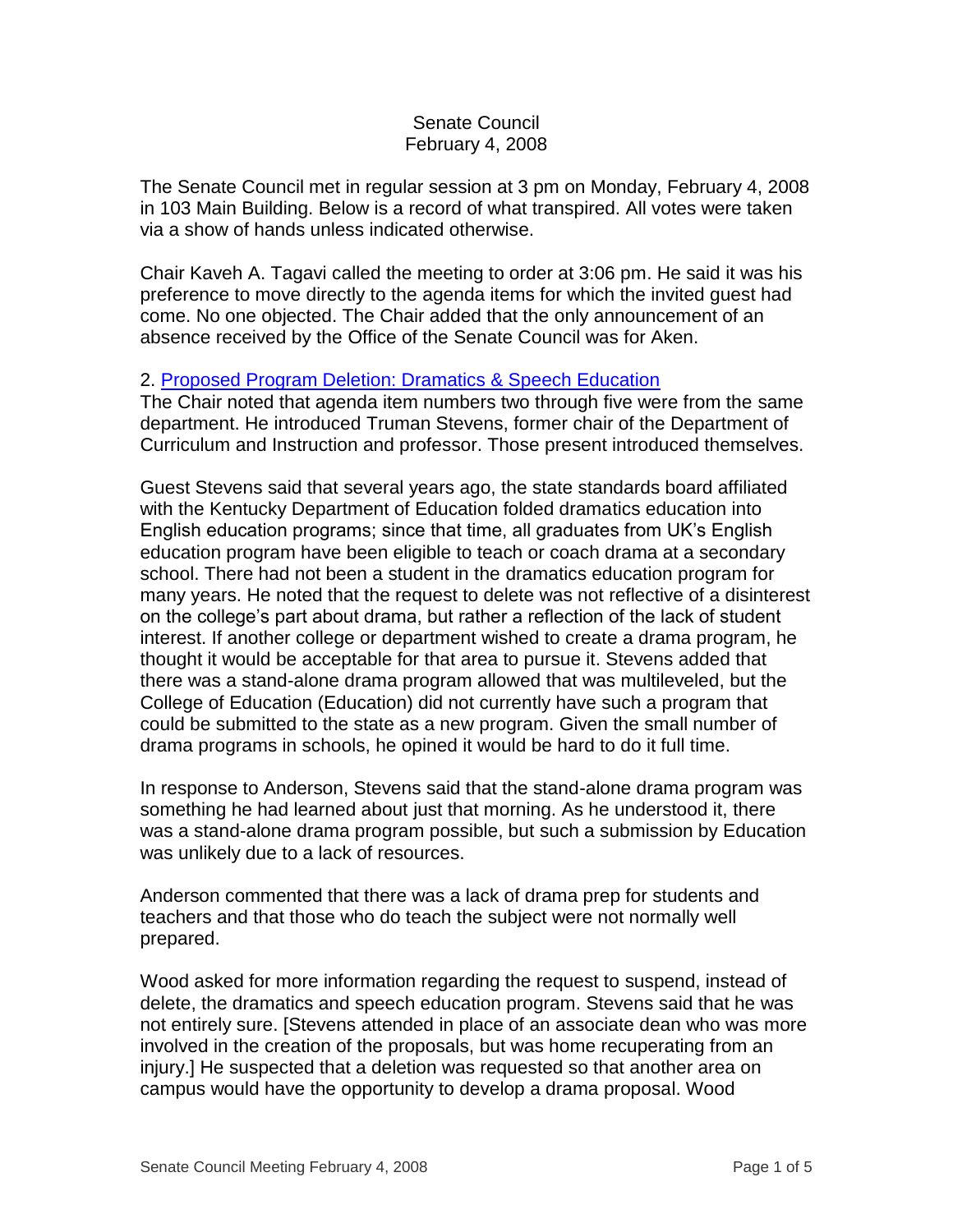## Senate Council February 4, 2008

The Senate Council met in regular session at 3 pm on Monday, February 4, 2008 in 103 Main Building. Below is a record of what transpired. All votes were taken via a show of hands unless indicated otherwise.

Chair Kaveh A. Tagavi called the meeting to order at 3:06 pm. He said it was his preference to move directly to the agenda items for which the invited guest had come. No one objected. The Chair added that the only announcement of an absence received by the Office of the Senate Council was for Aken.

## 2. [Proposed Program Deletion: Dramatics & Speech Education](http://www.uky.edu/USC/New/files/20080204/DSE%20Delete%20Program_Complete.pdf)

The Chair noted that agenda item numbers two through five were from the same department. He introduced Truman Stevens, former chair of the Department of Curriculum and Instruction and professor. Those present introduced themselves.

Guest Stevens said that several years ago, the state standards board affiliated with the Kentucky Department of Education folded dramatics education into English education programs; since that time, all graduates from UK's English education program have been eligible to teach or coach drama at a secondary school. There had not been a student in the dramatics education program for many years. He noted that the request to delete was not reflective of a disinterest on the college's part about drama, but rather a reflection of the lack of student interest. If another college or department wished to create a drama program, he thought it would be acceptable for that area to pursue it. Stevens added that there was a stand-alone drama program allowed that was multileveled, but the College of Education (Education) did not currently have such a program that could be submitted to the state as a new program. Given the small number of drama programs in schools, he opined it would be hard to do it full time.

In response to Anderson, Stevens said that the stand-alone drama program was something he had learned about just that morning. As he understood it, there was a stand-alone drama program possible, but such a submission by Education was unlikely due to a lack of resources.

Anderson commented that there was a lack of drama prep for students and teachers and that those who do teach the subject were not normally well prepared.

Wood asked for more information regarding the request to suspend, instead of delete, the dramatics and speech education program. Stevens said that he was not entirely sure. [Stevens attended in place of an associate dean who was more involved in the creation of the proposals, but was home recuperating from an injury.] He suspected that a deletion was requested so that another area on campus would have the opportunity to develop a drama proposal. Wood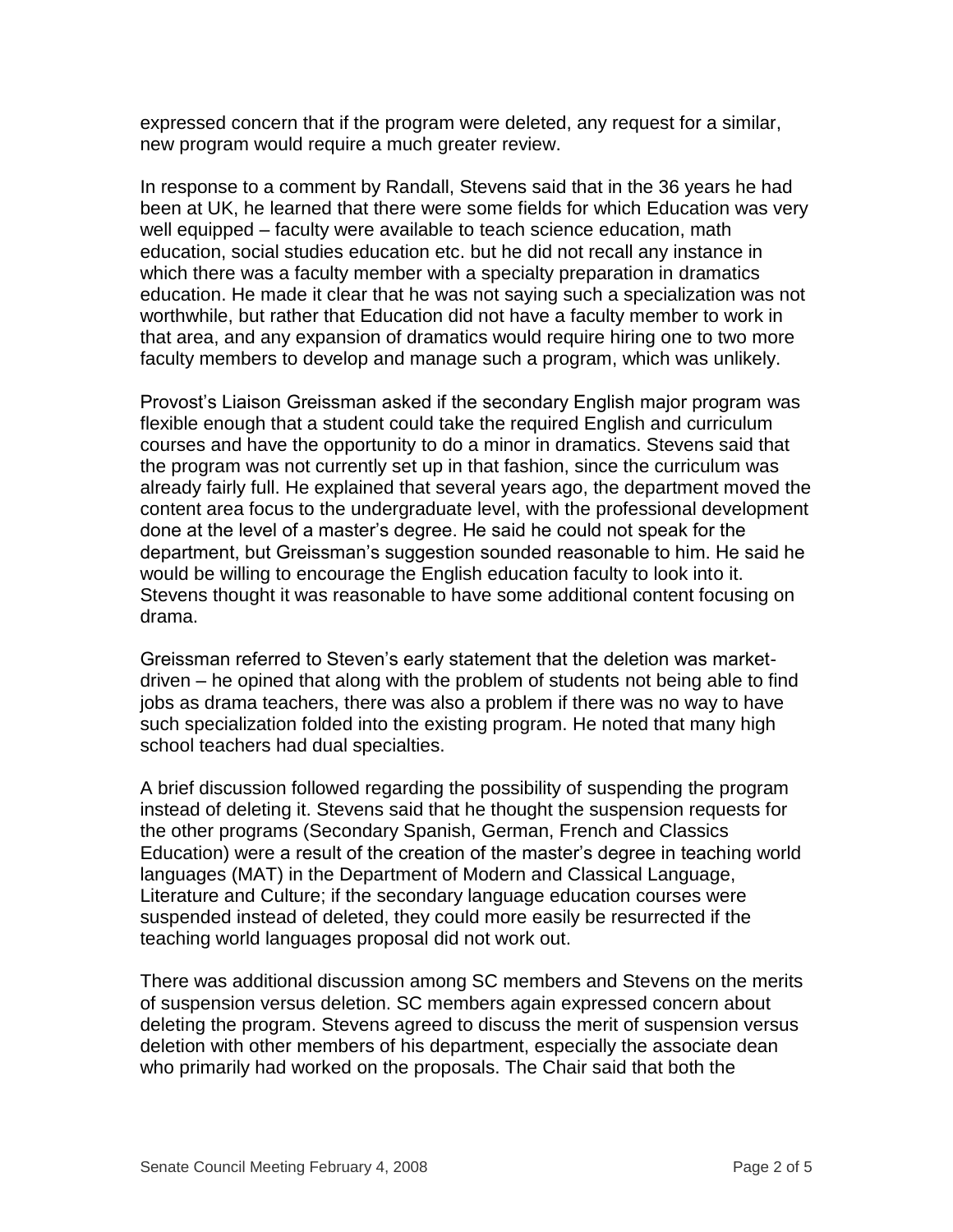expressed concern that if the program were deleted, any request for a similar, new program would require a much greater review.

In response to a comment by Randall, Stevens said that in the 36 years he had been at UK, he learned that there were some fields for which Education was very well equipped – faculty were available to teach science education, math education, social studies education etc. but he did not recall any instance in which there was a faculty member with a specialty preparation in dramatics education. He made it clear that he was not saying such a specialization was not worthwhile, but rather that Education did not have a faculty member to work in that area, and any expansion of dramatics would require hiring one to two more faculty members to develop and manage such a program, which was unlikely.

Provost's Liaison Greissman asked if the secondary English major program was flexible enough that a student could take the required English and curriculum courses and have the opportunity to do a minor in dramatics. Stevens said that the program was not currently set up in that fashion, since the curriculum was already fairly full. He explained that several years ago, the department moved the content area focus to the undergraduate level, with the professional development done at the level of a master's degree. He said he could not speak for the department, but Greissman's suggestion sounded reasonable to him. He said he would be willing to encourage the English education faculty to look into it. Stevens thought it was reasonable to have some additional content focusing on drama.

Greissman referred to Steven's early statement that the deletion was marketdriven – he opined that along with the problem of students not being able to find jobs as drama teachers, there was also a problem if there was no way to have such specialization folded into the existing program. He noted that many high school teachers had dual specialties.

A brief discussion followed regarding the possibility of suspending the program instead of deleting it. Stevens said that he thought the suspension requests for the other programs (Secondary Spanish, German, French and Classics Education) were a result of the creation of the master's degree in teaching world languages (MAT) in the Department of Modern and Classical Language, Literature and Culture; if the secondary language education courses were suspended instead of deleted, they could more easily be resurrected if the teaching world languages proposal did not work out.

There was additional discussion among SC members and Stevens on the merits of suspension versus deletion. SC members again expressed concern about deleting the program. Stevens agreed to discuss the merit of suspension versus deletion with other members of his department, especially the associate dean who primarily had worked on the proposals. The Chair said that both the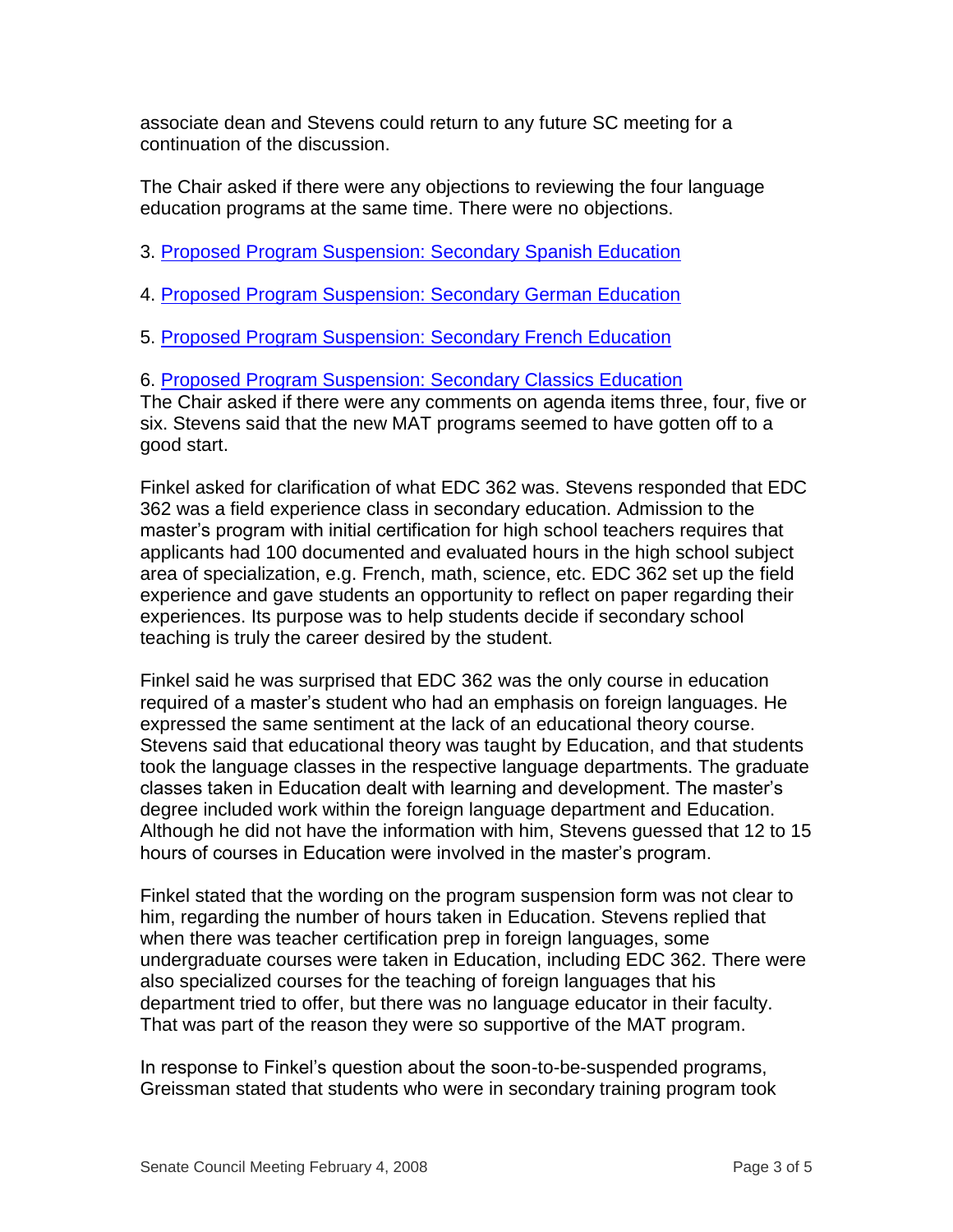associate dean and Stevens could return to any future SC meeting for a continuation of the discussion.

The Chair asked if there were any objections to reviewing the four language education programs at the same time. There were no objections.

3. [Proposed Program Suspension: Secondary Spanish Education](http://www.uky.edu/USC/New/files/20080204/Secondary%20Spanish%20Edu-Prog%20Suspension_Complete.pdf)

- 4. [Proposed Program Suspension: Secondary German Education](http://www.uky.edu/USC/New/files/20080204/Secondary%20German%20Edu-Prog%20Suspension_Complete.pdf)
- 5. [Proposed Program Suspension: Secondary French Education](http://www.uky.edu/USC/New/files/20080204/Secondary%20French%20Edu-Prog%20Suspension_Complete.pdf)

6. [Proposed Program Suspension: Secondary Classics Education](http://www.uky.edu/USC/New/files/20080204/Secondary%20Classics%20Edu-Prog%20Suspension_Complete.pdf)

The Chair asked if there were any comments on agenda items three, four, five or six. Stevens said that the new MAT programs seemed to have gotten off to a good start.

Finkel asked for clarification of what EDC 362 was. Stevens responded that EDC 362 was a field experience class in secondary education. Admission to the master's program with initial certification for high school teachers requires that applicants had 100 documented and evaluated hours in the high school subject area of specialization, e.g. French, math, science, etc. EDC 362 set up the field experience and gave students an opportunity to reflect on paper regarding their experiences. Its purpose was to help students decide if secondary school teaching is truly the career desired by the student.

Finkel said he was surprised that EDC 362 was the only course in education required of a master's student who had an emphasis on foreign languages. He expressed the same sentiment at the lack of an educational theory course. Stevens said that educational theory was taught by Education, and that students took the language classes in the respective language departments. The graduate classes taken in Education dealt with learning and development. The master's degree included work within the foreign language department and Education. Although he did not have the information with him, Stevens guessed that 12 to 15 hours of courses in Education were involved in the master's program.

Finkel stated that the wording on the program suspension form was not clear to him, regarding the number of hours taken in Education. Stevens replied that when there was teacher certification prep in foreign languages, some undergraduate courses were taken in Education, including EDC 362. There were also specialized courses for the teaching of foreign languages that his department tried to offer, but there was no language educator in their faculty. That was part of the reason they were so supportive of the MAT program.

In response to Finkel's question about the soon-to-be-suspended programs, Greissman stated that students who were in secondary training program took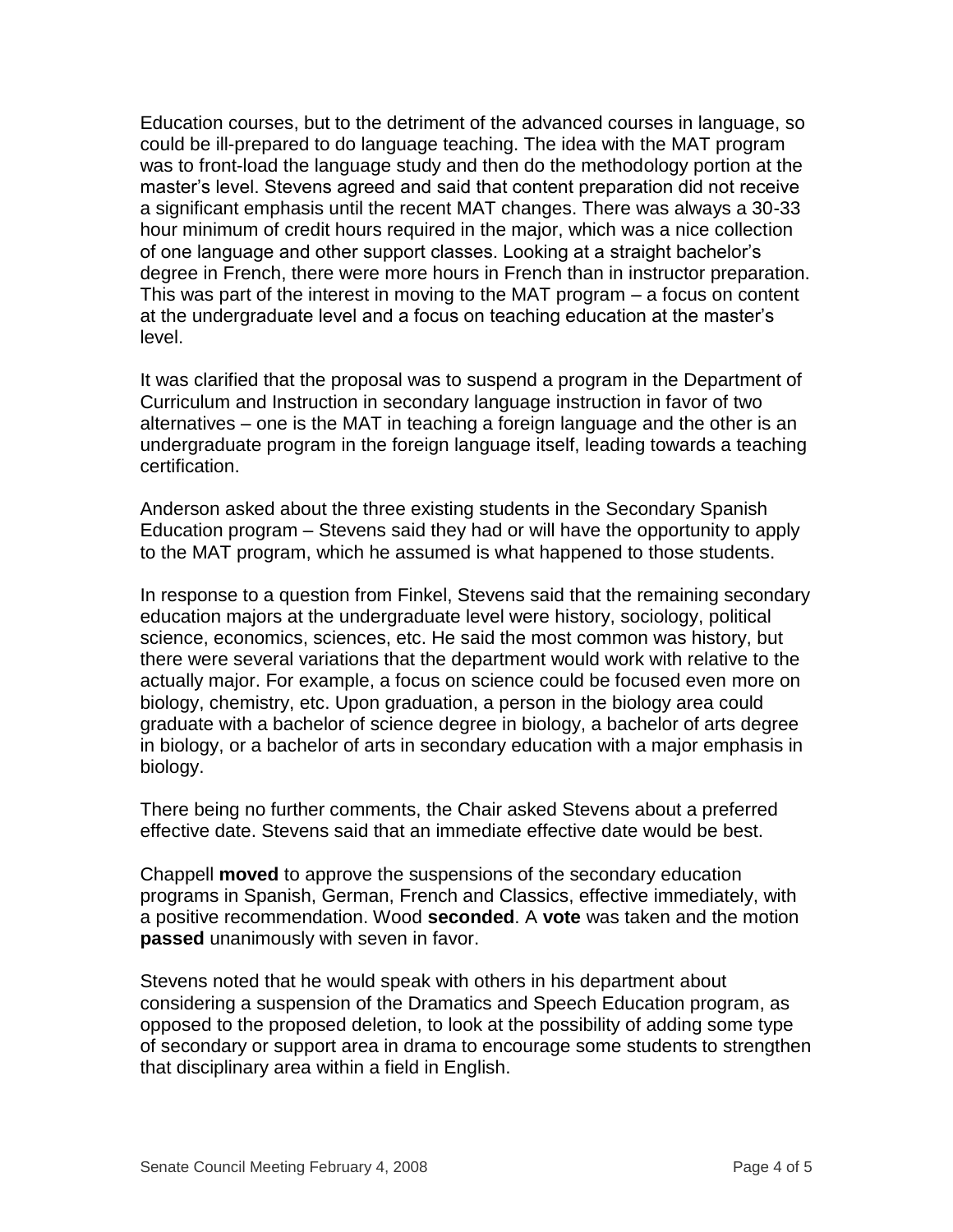Education courses, but to the detriment of the advanced courses in language, so could be ill-prepared to do language teaching. The idea with the MAT program was to front-load the language study and then do the methodology portion at the master's level. Stevens agreed and said that content preparation did not receive a significant emphasis until the recent MAT changes. There was always a 30-33 hour minimum of credit hours required in the major, which was a nice collection of one language and other support classes. Looking at a straight bachelor's degree in French, there were more hours in French than in instructor preparation. This was part of the interest in moving to the MAT program – a focus on content at the undergraduate level and a focus on teaching education at the master's level.

It was clarified that the proposal was to suspend a program in the Department of Curriculum and Instruction in secondary language instruction in favor of two alternatives – one is the MAT in teaching a foreign language and the other is an undergraduate program in the foreign language itself, leading towards a teaching certification.

Anderson asked about the three existing students in the Secondary Spanish Education program – Stevens said they had or will have the opportunity to apply to the MAT program, which he assumed is what happened to those students.

In response to a question from Finkel, Stevens said that the remaining secondary education majors at the undergraduate level were history, sociology, political science, economics, sciences, etc. He said the most common was history, but there were several variations that the department would work with relative to the actually major. For example, a focus on science could be focused even more on biology, chemistry, etc. Upon graduation, a person in the biology area could graduate with a bachelor of science degree in biology, a bachelor of arts degree in biology, or a bachelor of arts in secondary education with a major emphasis in biology.

There being no further comments, the Chair asked Stevens about a preferred effective date. Stevens said that an immediate effective date would be best.

Chappell **moved** to approve the suspensions of the secondary education programs in Spanish, German, French and Classics, effective immediately, with a positive recommendation. Wood **seconded**. A **vote** was taken and the motion **passed** unanimously with seven in favor.

Stevens noted that he would speak with others in his department about considering a suspension of the Dramatics and Speech Education program, as opposed to the proposed deletion, to look at the possibility of adding some type of secondary or support area in drama to encourage some students to strengthen that disciplinary area within a field in English.